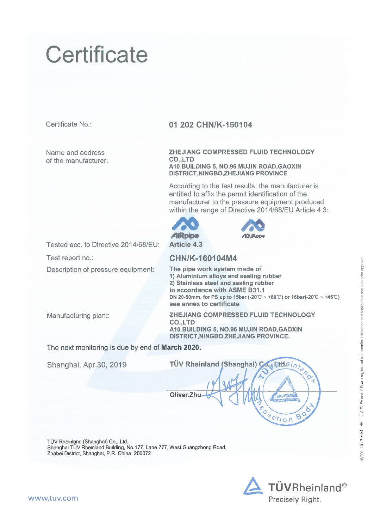# Certificate

Certificate No.:

Name and address of the manufacturer.

#### 01 202 CHN/K-160104

ZHEJIANG COMPRESSED FLUID TECHNOLOGY CO.,LTD A10 BUILDING 5, NO.96 MUJIN ROAD, GAOXIN **DISTRICT, NINGBO, ZHEJIANG PROVINCE** 

According to the test results, the manufacturer is entitled to affix the permit identification of the manufacturer to the pressure equipment produced within the range of Directive 2014/68/EU Article 4.3:





Tested acc. to Directive 2014/68/EU: Test report no.:

Description of pressure equipment:

### CHN/K-160104M4

The pipe work system made of 1) Aluminium alloys and sealing rubber 2) Stainless steel and sealing rubber in accordance with ASME B31.1 DN 20-50mm, for PS up to 15bar (-20°C ~ +80°C) or 16bar(-20°C ~ +45°C) see annex to certificate

Manufacturing plant:

ZHEJIANG COMPRESSED FLUID TECHNOLOGY **CO.,LTD** A10 BUILDING 5, NO.96 MUJIN ROAD, GAOXIN DISTRICT, NINGBO, ZHEJIANG PROVINCE.

The next monitoring is due by end of March 2020.

Shanghai, Apr.30, 2019

TÜV Rheinland (Shanghai) Co. ktd.ei Oliver.Zhu ection Ò

TÜV Rheinland (Shanghai) Co., Ltd. Shanghai TÜV Rheinland Building, No.177, Lane 777, West Guangzhong Road, Zhabei District, Shanghai, P.R. China 200072